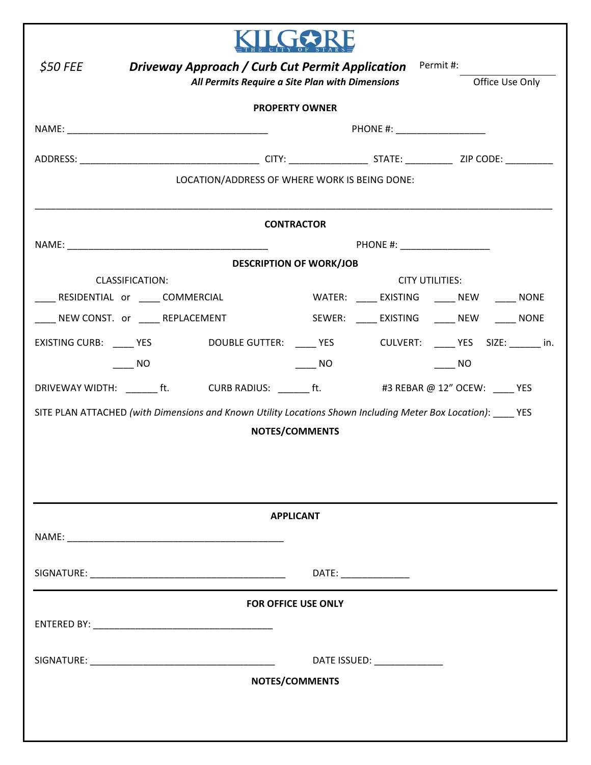| <b>Driveway Approach / Curb Cut Permit Application</b> Permit #:<br>\$50 FEE                                   |                                              |  |  |  |  |  |
|----------------------------------------------------------------------------------------------------------------|----------------------------------------------|--|--|--|--|--|
| All Permits Require a Site Plan with Dimensions<br>Office Use Only                                             |                                              |  |  |  |  |  |
| <b>PROPERTY OWNER</b>                                                                                          |                                              |  |  |  |  |  |
| PHONE #: ____________________                                                                                  |                                              |  |  |  |  |  |
|                                                                                                                |                                              |  |  |  |  |  |
|                                                                                                                |                                              |  |  |  |  |  |
| LOCATION/ADDRESS OF WHERE WORK IS BEING DONE:                                                                  |                                              |  |  |  |  |  |
| <b>CONTRACTOR</b>                                                                                              |                                              |  |  |  |  |  |
|                                                                                                                | PHONE #: ___________________                 |  |  |  |  |  |
| <b>DESCRIPTION OF WORK/JOB</b>                                                                                 |                                              |  |  |  |  |  |
| CLASSIFICATION:                                                                                                | <b>CITY UTILITIES:</b>                       |  |  |  |  |  |
| RESIDENTIAL or _____COMMERCIAL                                                                                 | WATER: _____ EXISTING ______ NEW ______ NONE |  |  |  |  |  |
| ___ NEW CONST. or _____ REPLACEMENT                                                                            | SEWER: _____ EXISTING ______ NEW ______ NONE |  |  |  |  |  |
| EXISTING CURB: _____ YES       DOUBLE GUTTER: _____ YES      CULVERT: _____ YES SIZE: ______ in.               |                                              |  |  |  |  |  |
| NO.                                                                                                            | $\sqrt{N}$<br><b>NO</b>                      |  |  |  |  |  |
| DRIVEWAY WIDTH: ______ft. CURB RADIUS: ______ft. #3 REBAR @ 12" OCEW: ____ YES                                 |                                              |  |  |  |  |  |
| SITE PLAN ATTACHED (with Dimensions and Known Utility Locations Shown Including Meter Box Location): _____ YES |                                              |  |  |  |  |  |
| <b>NOTES/COMMENTS</b>                                                                                          |                                              |  |  |  |  |  |
|                                                                                                                |                                              |  |  |  |  |  |
|                                                                                                                |                                              |  |  |  |  |  |
|                                                                                                                |                                              |  |  |  |  |  |
| <b>APPLICANT</b>                                                                                               |                                              |  |  |  |  |  |
|                                                                                                                |                                              |  |  |  |  |  |
|                                                                                                                |                                              |  |  |  |  |  |
|                                                                                                                | DATE: _______________                        |  |  |  |  |  |
| <b>FOR OFFICE USE ONLY</b>                                                                                     |                                              |  |  |  |  |  |
|                                                                                                                |                                              |  |  |  |  |  |
|                                                                                                                |                                              |  |  |  |  |  |
|                                                                                                                | DATE ISSUED: ______________                  |  |  |  |  |  |
| NOTES/COMMENTS                                                                                                 |                                              |  |  |  |  |  |
|                                                                                                                |                                              |  |  |  |  |  |
|                                                                                                                |                                              |  |  |  |  |  |
|                                                                                                                |                                              |  |  |  |  |  |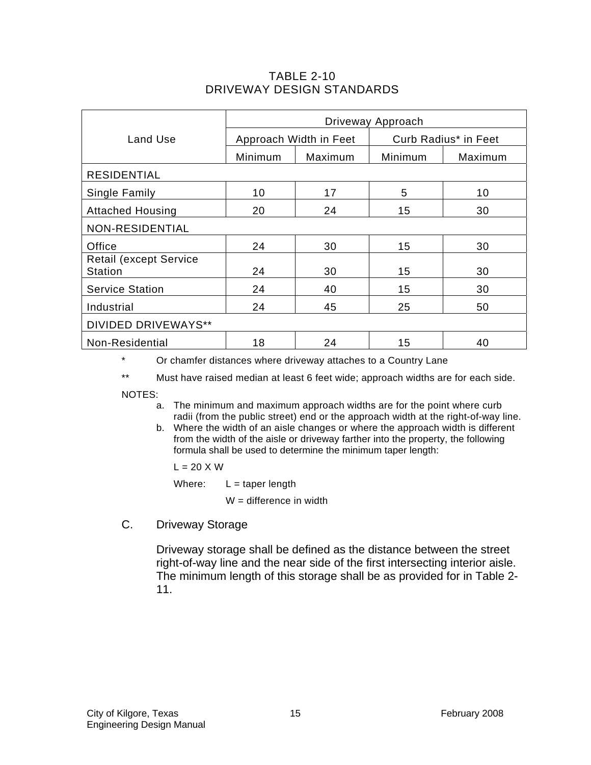## TABLE 2-10 DRIVEWAY DESIGN STANDARDS

|                                                  | Driveway Approach      |         |                      |         |  |
|--------------------------------------------------|------------------------|---------|----------------------|---------|--|
| Land Use                                         | Approach Width in Feet |         | Curb Radius* in Feet |         |  |
|                                                  | Minimum                | Maximum | Minimum              | Maximum |  |
| <b>RESIDENTIAL</b>                               |                        |         |                      |         |  |
| Single Family                                    | 10                     | 17      | 5                    | 10      |  |
| <b>Attached Housing</b>                          | 20                     | 24      | 15                   | 30      |  |
| NON-RESIDENTIAL                                  |                        |         |                      |         |  |
| Office                                           | 24                     | 30      | 15                   | 30      |  |
| <b>Retail (except Service)</b><br><b>Station</b> | 24                     | 30      | 15                   | 30      |  |
| <b>Service Station</b>                           | 24                     | 40      | 15                   | 30      |  |
| Industrial                                       | 24                     | 45      | 25                   | 50      |  |
| <b>DIVIDED DRIVEWAYS**</b>                       |                        |         |                      |         |  |
| Non-Residential                                  | 18                     | 24      | 15                   | 40      |  |

\* Or chamfer distances where driveway attaches to a Country Lane

\*\* Must have raised median at least 6 feet wide; approach widths are for each side.

NOTES:

- a. The minimum and maximum approach widths are for the point where curb radii (from the public street) end or the approach width at the right-of-way line.
- b. Where the width of an aisle changes or where the approach width is different from the width of the aisle or driveway farther into the property, the following formula shall be used to determine the minimum taper length:

 $L = 20 X W$ 

Where:  $L = \text{taper length}$ 

 $W =$  difference in width

C. Driveway Storage

Driveway storage shall be defined as the distance between the street right-of-way line and the near side of the first intersecting interior aisle. The minimum length of this storage shall be as provided for in Table 2- 11.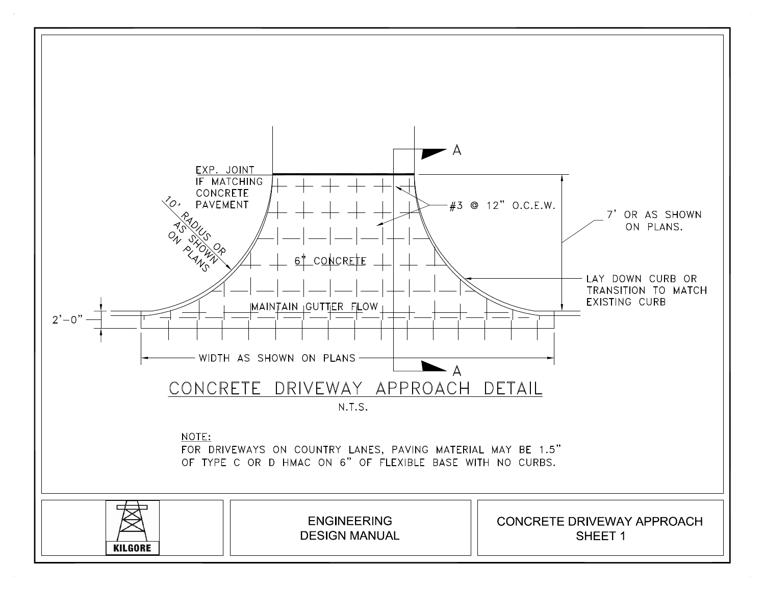